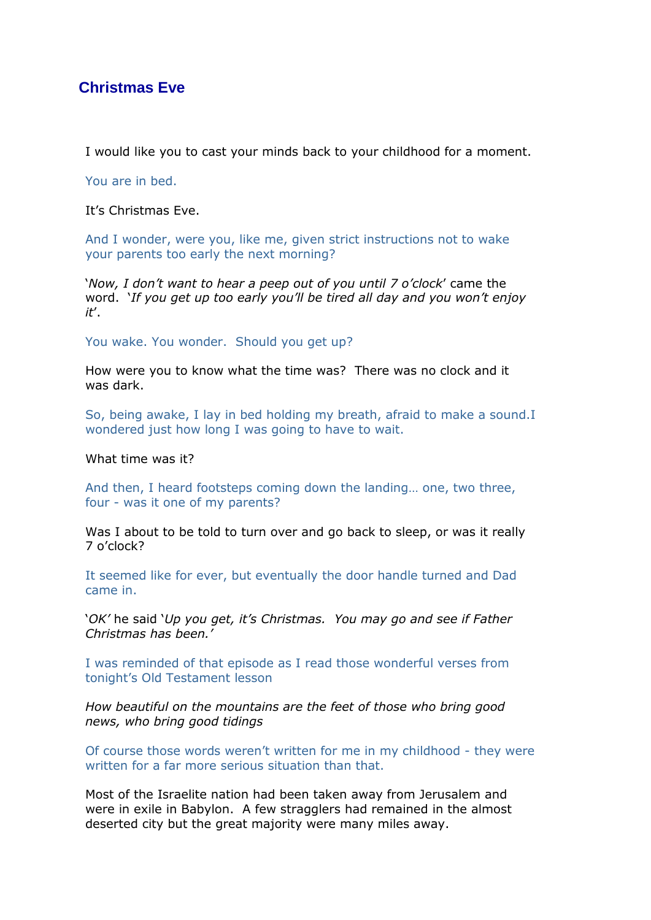## **Christmas Eve**

I would like you to cast your minds back to your childhood for a moment.

You are in bed.

It's Christmas Eve.

And I wonder, were you, like me, given strict instructions not to wake your parents too early the next morning?

'*Now, I don't want to hear a peep out of you until 7 o'clock*' came the word. '*If you get up too early you'll be tired all day and you won't enjoy it*'.

You wake. You wonder. Should you get up?

How were you to know what the time was? There was no clock and it was dark.

So, being awake, I lay in bed holding my breath, afraid to make a sound.I wondered just how long I was going to have to wait.

What time was it?

And then, I heard footsteps coming down the landing… one, two three, four - was it one of my parents?

Was I about to be told to turn over and go back to sleep, or was it really 7 o'clock?

It seemed like for ever, but eventually the door handle turned and Dad came in.

'*OK'* he said '*Up you get, it's Christmas. You may go and see if Father Christmas has been.'*

I was reminded of that episode as I read those wonderful verses from tonight's Old Testament lesson

*How beautiful on the mountains are the feet of those who bring good news, who bring good tidings*

Of course those words weren't written for me in my childhood - they were written for a far more serious situation than that.

Most of the Israelite nation had been taken away from Jerusalem and were in exile in Babylon. A few stragglers had remained in the almost deserted city but the great majority were many miles away.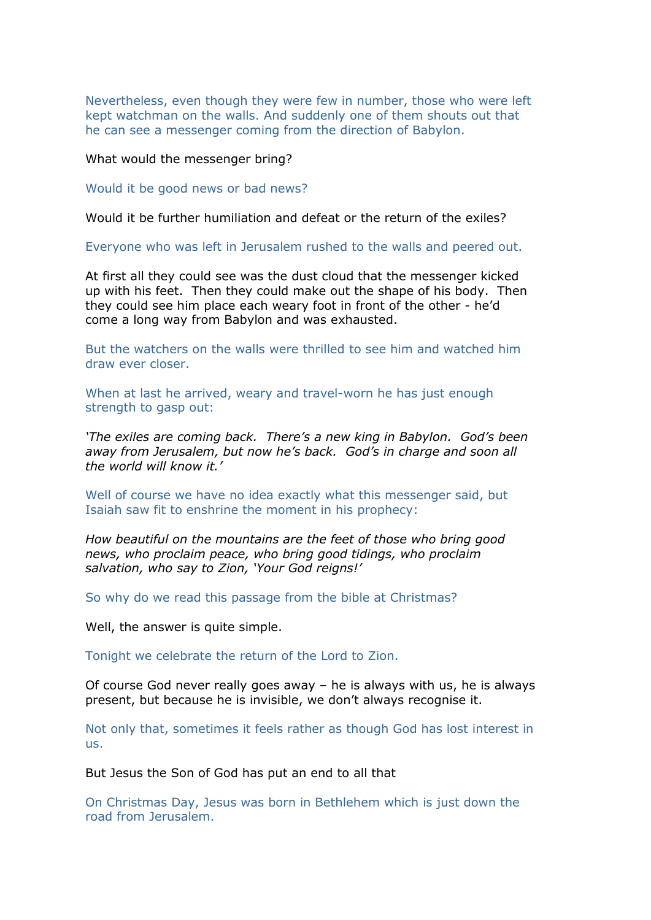Nevertheless, even though they were few in number, those who were left kept watchman on the walls. And suddenly one of them shouts out that he can see a messenger coming from the direction of Babylon.

What would the messenger bring?

Would it be good news or bad news?

Would it be further humiliation and defeat or the return of the exiles?

Everyone who was left in Jerusalem rushed to the walls and peered out.

At first all they could see was the dust cloud that the messenger kicked up with his feet. Then they could make out the shape of his body. Then they could see him place each weary foot in front of the other - he'd come a long way from Babylon and was exhausted.

But the watchers on the walls were thrilled to see him and watched him draw ever closer.

When at last he arrived, weary and travel-worn he has just enough strength to gasp out:

*'The exiles are coming back. There's a new king in Babylon. God's been away from Jerusalem, but now he's back. God's in charge and soon all the world will know it.'*

Well of course we have no idea exactly what this messenger said, but Isaiah saw fit to enshrine the moment in his prophecy:

*How beautiful on the mountains are the feet of those who bring good news, who proclaim peace, who bring good tidings, who proclaim salvation, who say to Zion, 'Your God reigns!'*

So why do we read this passage from the bible at Christmas?

Well, the answer is quite simple.

Tonight we celebrate the return of the Lord to Zion.

Of course God never really goes away – he is always with us, he is always present, but because he is invisible, we don't always recognise it.

Not only that, sometimes it feels rather as though God has lost interest in us.

But Jesus the Son of God has put an end to all that

On Christmas Day, Jesus was born in Bethlehem which is just down the road from Jerusalem.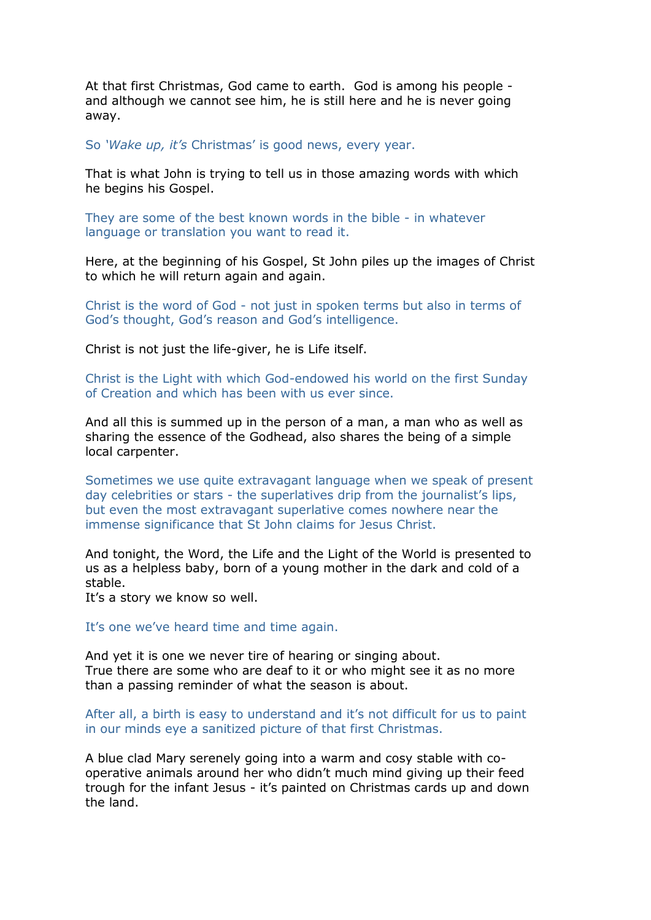At that first Christmas, God came to earth. God is among his people and although we cannot see him, he is still here and he is never going away.

So *'Wake up, it's* Christmas' is good news, every year.

That is what John is trying to tell us in those amazing words with which he begins his Gospel.

They are some of the best known words in the bible - in whatever language or translation you want to read it.

Here, at the beginning of his Gospel, St John piles up the images of Christ to which he will return again and again.

Christ is the word of God - not just in spoken terms but also in terms of God's thought, God's reason and God's intelligence.

Christ is not just the life-giver, he is Life itself.

Christ is the Light with which God-endowed his world on the first Sunday of Creation and which has been with us ever since.

And all this is summed up in the person of a man, a man who as well as sharing the essence of the Godhead, also shares the being of a simple local carpenter.

Sometimes we use quite extravagant language when we speak of present day celebrities or stars - the superlatives drip from the journalist's lips, but even the most extravagant superlative comes nowhere near the immense significance that St John claims for Jesus Christ.

And tonight, the Word, the Life and the Light of the World is presented to us as a helpless baby, born of a young mother in the dark and cold of a stable.

It's a story we know so well.

It's one we've heard time and time again.

And yet it is one we never tire of hearing or singing about. True there are some who are deaf to it or who might see it as no more than a passing reminder of what the season is about.

After all, a birth is easy to understand and it's not difficult for us to paint in our minds eye a sanitized picture of that first Christmas.

A blue clad Mary serenely going into a warm and cosy stable with cooperative animals around her who didn't much mind giving up their feed trough for the infant Jesus - it's painted on Christmas cards up and down the land.